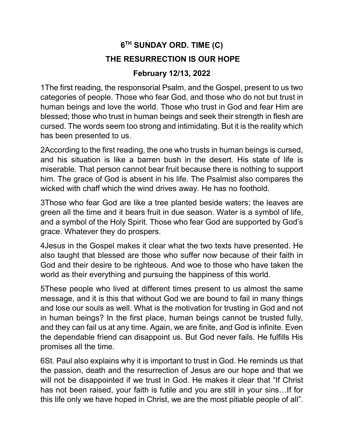## 6 TH SUNDAY ORD. TIME (C) THE RESURRECTION IS OUR HOPE

## February 12/13, 2022

1The first reading, the responsorial Psalm, and the Gospel, present to us two categories of people. Those who fear God, and those who do not but trust in human beings and love the world. Those who trust in God and fear Him are blessed; those who trust in human beings and seek their strength in flesh are cursed. The words seem too strong and intimidating. But it is the reality which has been presented to us.

2According to the first reading, the one who trusts in human beings is cursed, and his situation is like a barren bush in the desert. His state of life is miserable. That person cannot bear fruit because there is nothing to support him. The grace of God is absent in his life. The Psalmist also compares the wicked with chaff which the wind drives away. He has no foothold.

3Those who fear God are like a tree planted beside waters; the leaves are green all the time and it bears fruit in due season. Water is a symbol of life, and a symbol of the Holy Spirit. Those who fear God are supported by God's grace. Whatever they do prospers.

4Jesus in the Gospel makes it clear what the two texts have presented. He also taught that blessed are those who suffer now because of their faith in God and their desire to be righteous. And woe to those who have taken the world as their everything and pursuing the happiness of this world.

5These people who lived at different times present to us almost the same message, and it is this that without God we are bound to fail in many things and lose our souls as well. What is the motivation for trusting in God and not in human beings? In the first place, human beings cannot be trusted fully, and they can fail us at any time. Again, we are finite, and God is infinite. Even the dependable friend can disappoint us. But God never fails. He fulfills His promises all the time.

6St. Paul also explains why it is important to trust in God. He reminds us that the passion, death and the resurrection of Jesus are our hope and that we will not be disappointed if we trust in God. He makes it clear that "If Christ has not been raised, your faith is futile and you are still in your sins…If for this life only we have hoped in Christ, we are the most pitiable people of all".